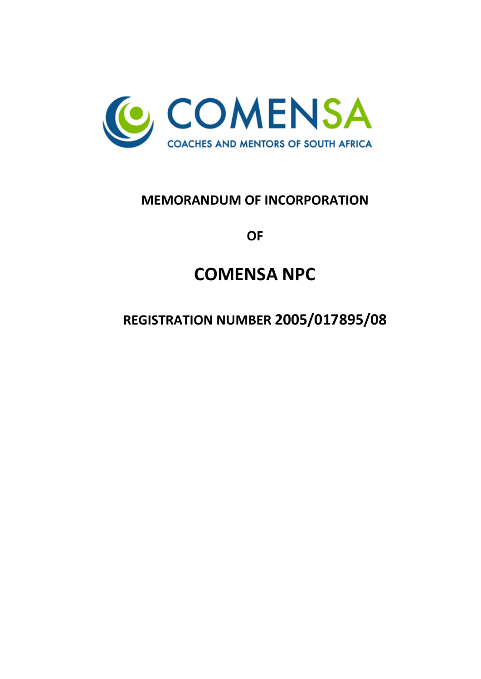

# **MEMORANDUM OF INCORPORATION**

**OF**

# **COMENSA NPC**

**REGISTRATION NUMBER 2005/017895/08**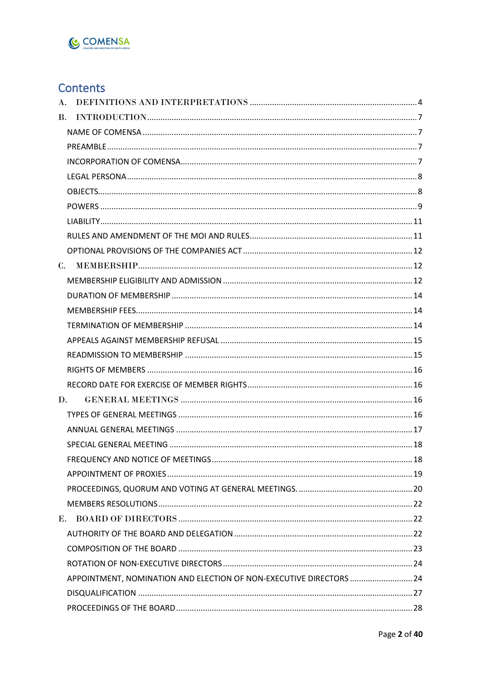

# Contents

| $\bf{A}$ . |                                                                     |  |
|------------|---------------------------------------------------------------------|--|
| <b>B.</b>  |                                                                     |  |
|            |                                                                     |  |
|            |                                                                     |  |
|            |                                                                     |  |
|            |                                                                     |  |
|            |                                                                     |  |
|            |                                                                     |  |
|            |                                                                     |  |
|            |                                                                     |  |
|            |                                                                     |  |
|            |                                                                     |  |
|            |                                                                     |  |
|            |                                                                     |  |
|            |                                                                     |  |
|            |                                                                     |  |
|            |                                                                     |  |
|            |                                                                     |  |
|            |                                                                     |  |
|            |                                                                     |  |
|            | D.                                                                  |  |
|            |                                                                     |  |
|            |                                                                     |  |
|            |                                                                     |  |
|            |                                                                     |  |
|            |                                                                     |  |
|            |                                                                     |  |
|            |                                                                     |  |
| Е.         |                                                                     |  |
|            |                                                                     |  |
|            |                                                                     |  |
|            |                                                                     |  |
|            | APPOINTMENT, NOMINATION AND ELECTION OF NON-EXECUTIVE DIRECTORS  24 |  |
|            |                                                                     |  |
|            |                                                                     |  |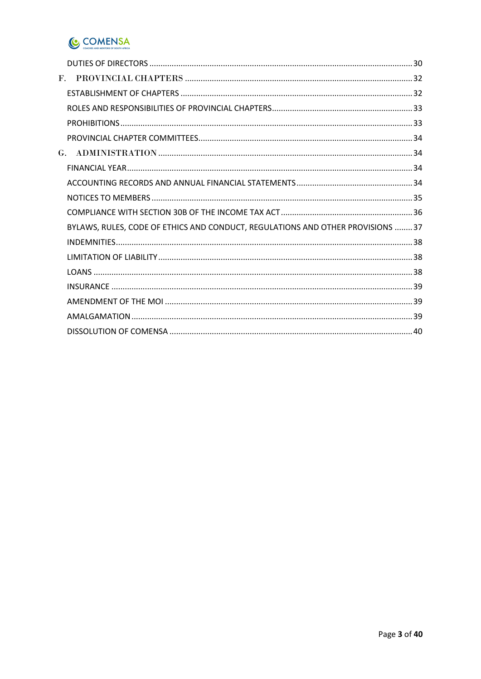

| $\mathbf{F}$ .                                                                 |
|--------------------------------------------------------------------------------|
|                                                                                |
|                                                                                |
|                                                                                |
|                                                                                |
|                                                                                |
|                                                                                |
|                                                                                |
|                                                                                |
|                                                                                |
| BYLAWS, RULES, CODE OF ETHICS AND CONDUCT, REGULATIONS AND OTHER PROVISIONS 37 |
|                                                                                |
|                                                                                |
|                                                                                |
|                                                                                |
|                                                                                |
|                                                                                |
|                                                                                |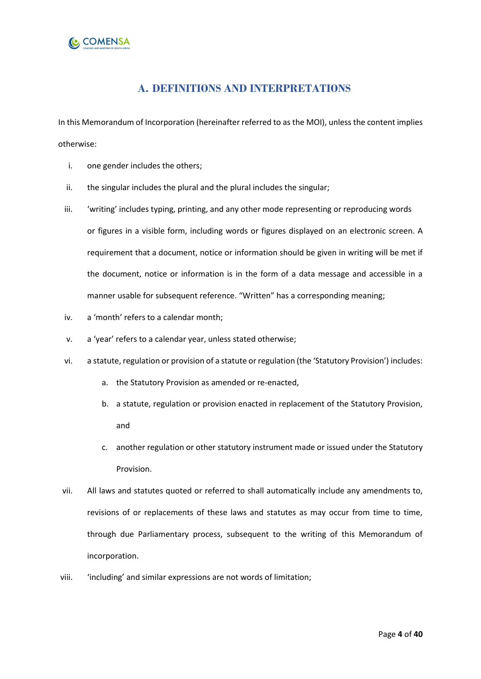

### **A. DEFINITIONS AND INTERPRETATIONS**

<span id="page-3-0"></span>In this Memorandum of Incorporation (hereinafter referred to as the MOI), unless the content implies otherwise:

- i. one gender includes the others;
- ii. the singular includes the plural and the plural includes the singular;
- iii. 'writing' includes typing, printing, and any other mode representing or reproducing words or figures in a visible form, including words or figures displayed on an electronic screen. A requirement that a document, notice or information should be given in writing will be met if the document, notice or information is in the form of a data message and accessible in a manner usable for subsequent reference. "Written" has a corresponding meaning;
- iv. a 'month' refers to a calendar month;
- v. a 'year' refers to a calendar year, unless stated otherwise;
- vi. a statute, regulation or provision of a statute or regulation (the 'Statutory Provision') includes:
	- a. the Statutory Provision as amended or re-enacted,
	- b. a statute, regulation or provision enacted in replacement of the Statutory Provision, and
	- c. another regulation or other statutory instrument made or issued under the Statutory Provision.
- vii. All laws and statutes quoted or referred to shall automatically include any amendments to, revisions of or replacements of these laws and statutes as may occur from time to time, through due Parliamentary process, subsequent to the writing of this Memorandum of incorporation.
- viii. 'including' and similar expressions are not words of limitation;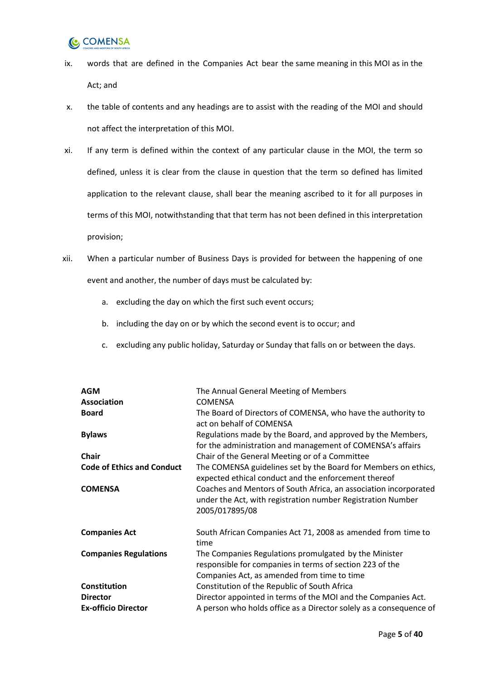## **COMENSA**

- ix. words that are defined in the Companies Act bear the same meaning in this MOI as in the Act; and
- x. the table of contents and any headings are to assist with the reading of the MOI and should not affect the interpretation of this MOI.
- xi. If any term is defined within the context of any particular clause in the MOI, the term so defined, unless it is clear from the clause in question that the term so defined has limited application to the relevant clause, shall bear the meaning ascribed to it for all purposes in terms of this MOI, notwithstanding that that term has not been defined in this interpretation provision;
- xii. When a particular number of Business Days is provided for between the happening of one event and another, the number of days must be calculated by:
	- a. excluding the day on which the first such event occurs;
	- b. including the day on or by which the second event is to occur; and
	- c. excluding any public holiday, Saturday or Sunday that falls on or between the days.

| <b>AGM</b>                        | The Annual General Meeting of Members                                                                                                                            |
|-----------------------------------|------------------------------------------------------------------------------------------------------------------------------------------------------------------|
| <b>Association</b>                | <b>COMENSA</b>                                                                                                                                                   |
| <b>Board</b>                      | The Board of Directors of COMENSA, who have the authority to<br>act on behalf of COMENSA                                                                         |
| <b>Bylaws</b>                     | Regulations made by the Board, and approved by the Members,<br>for the administration and management of COMENSA's affairs                                        |
| <b>Chair</b>                      | Chair of the General Meeting or of a Committee                                                                                                                   |
| <b>Code of Ethics and Conduct</b> | The COMENSA guidelines set by the Board for Members on ethics,<br>expected ethical conduct and the enforcement thereof                                           |
| <b>COMENSA</b>                    | Coaches and Mentors of South Africa, an association incorporated<br>under the Act, with registration number Registration Number<br>2005/017895/08                |
| <b>Companies Act</b>              | South African Companies Act 71, 2008 as amended from time to<br>time                                                                                             |
| <b>Companies Regulations</b>      | The Companies Regulations promulgated by the Minister<br>responsible for companies in terms of section 223 of the<br>Companies Act, as amended from time to time |
| Constitution                      | Constitution of the Republic of South Africa                                                                                                                     |
| <b>Director</b>                   | Director appointed in terms of the MOI and the Companies Act.                                                                                                    |
| <b>Ex-officio Director</b>        | A person who holds office as a Director solely as a consequence of                                                                                               |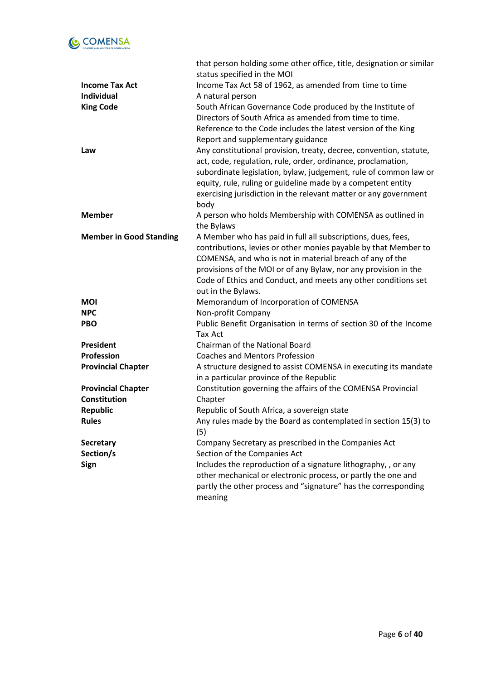

|                                | that person holding some other office, title, designation or similar |
|--------------------------------|----------------------------------------------------------------------|
|                                | status specified in the MOI                                          |
| <b>Income Tax Act</b>          | Income Tax Act 58 of 1962, as amended from time to time              |
| Individual                     | A natural person                                                     |
| <b>King Code</b>               | South African Governance Code produced by the Institute of           |
|                                | Directors of South Africa as amended from time to time.              |
|                                | Reference to the Code includes the latest version of the King        |
|                                | Report and supplementary guidance                                    |
| Law                            | Any constitutional provision, treaty, decree, convention, statute,   |
|                                | act, code, regulation, rule, order, ordinance, proclamation,         |
|                                | subordinate legislation, bylaw, judgement, rule of common law or     |
|                                | equity, rule, ruling or guideline made by a competent entity         |
|                                | exercising jurisdiction in the relevant matter or any government     |
|                                | body                                                                 |
| <b>Member</b>                  | A person who holds Membership with COMENSA as outlined in            |
|                                | the Bylaws                                                           |
| <b>Member in Good Standing</b> | A Member who has paid in full all subscriptions, dues, fees,         |
|                                | contributions, levies or other monies payable by that Member to      |
|                                | COMENSA, and who is not in material breach of any of the             |
|                                | provisions of the MOI or of any Bylaw, nor any provision in the      |
|                                | Code of Ethics and Conduct, and meets any other conditions set       |
|                                | out in the Bylaws.                                                   |
| <b>MOI</b>                     | Memorandum of Incorporation of COMENSA                               |
| <b>NPC</b>                     | Non-profit Company                                                   |
| <b>PBO</b>                     | Public Benefit Organisation in terms of section 30 of the Income     |
|                                | <b>Tax Act</b>                                                       |
| President                      | Chairman of the National Board                                       |
| Profession                     | <b>Coaches and Mentors Profession</b>                                |
| <b>Provincial Chapter</b>      | A structure designed to assist COMENSA in executing its mandate      |
|                                | in a particular province of the Republic                             |
| <b>Provincial Chapter</b>      | Constitution governing the affairs of the COMENSA Provincial         |
| Constitution                   | Chapter                                                              |
| <b>Republic</b>                | Republic of South Africa, a sovereign state                          |
| <b>Rules</b>                   | Any rules made by the Board as contemplated in section 15(3) to      |
|                                | (5)                                                                  |
| Secretary                      | Company Secretary as prescribed in the Companies Act                 |
| Section/s                      | Section of the Companies Act                                         |
| Sign                           | Includes the reproduction of a signature lithography, , or any       |
|                                | other mechanical or electronic process, or partly the one and        |
|                                | partly the other process and "signature" has the corresponding       |
|                                | meaning                                                              |
|                                |                                                                      |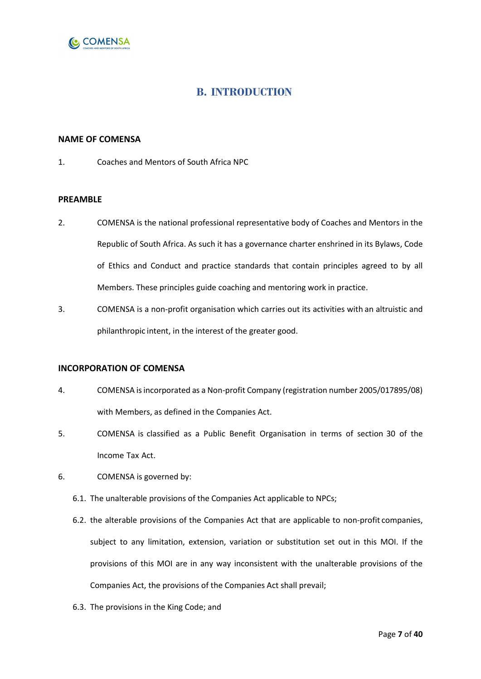

### **B. INTRODUCTION**

#### <span id="page-6-1"></span><span id="page-6-0"></span>**NAME OF COMENSA**

1. Coaches and Mentors of South Africa NPC

#### <span id="page-6-2"></span>**PREAMBLE**

- 2. COMENSA is the national professional representative body of Coaches and Mentors in the Republic of South Africa. As such it has a governance charter enshrined in its Bylaws, Code of Ethics and Conduct and practice standards that contain principles agreed to by all Members. These principles guide coaching and mentoring work in practice.
- 3. COMENSA is a non-profit organisation which carries out its activities with an altruistic and philanthropic intent, in the interest of the greater good.

#### <span id="page-6-3"></span>**INCORPORATION OF COMENSA**

- 4. COMENSA is incorporated as a Non-profit Company (registration number 2005/017895/08) with Members, as defined in the Companies Act.
- 5. COMENSA is classified as a Public Benefit Organisation in terms of section 30 of the Income Tax Act.
- 6. COMENSA is governed by:
	- 6.1. The unalterable provisions of the Companies Act applicable to NPCs;
	- 6.2. the alterable provisions of the Companies Act that are applicable to non-profit companies, subject to any limitation, extension, variation or substitution set out in this MOI. If the provisions of this MOI are in any way inconsistent with the unalterable provisions of the Companies Act, the provisions of the Companies Act shall prevail;
	- 6.3. The provisions in the King Code; and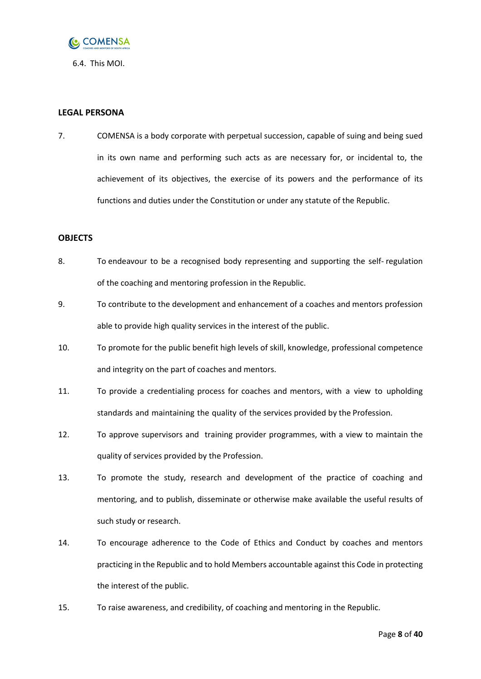

6.4. This MOI.

#### <span id="page-7-0"></span>**LEGAL PERSONA**

7. COMENSA is a body corporate with perpetual succession, capable of suing and being sued in its own name and performing such acts as are necessary for, or incidental to, the achievement of its objectives, the exercise of its powers and the performance of its functions and duties under the Constitution or under any statute of the Republic.

#### <span id="page-7-1"></span>**OBJECTS**

- 8. To endeavour to be a recognised body representing and supporting the self- regulation of the coaching and mentoring profession in the Republic.
- 9. To contribute to the development and enhancement of a coaches and mentors profession able to provide high quality services in the interest of the public.
- 10. To promote for the public benefit high levels of skill, knowledge, professional competence and integrity on the part of coaches and mentors.
- 11. To provide a credentialing process for coaches and mentors, with a view to upholding standards and maintaining the quality of the services provided by the Profession.
- 12. To approve supervisors and training provider programmes, with a view to maintain the quality of services provided by the Profession.
- 13. To promote the study, research and development of the practice of coaching and mentoring, and to publish, disseminate or otherwise make available the useful results of such study or research.
- 14. To encourage adherence to the Code of Ethics and Conduct by coaches and mentors practicing in the Republic and to hold Members accountable against this Code in protecting the interest of the public.
- 15. To raise awareness, and credibility, of coaching and mentoring in the Republic.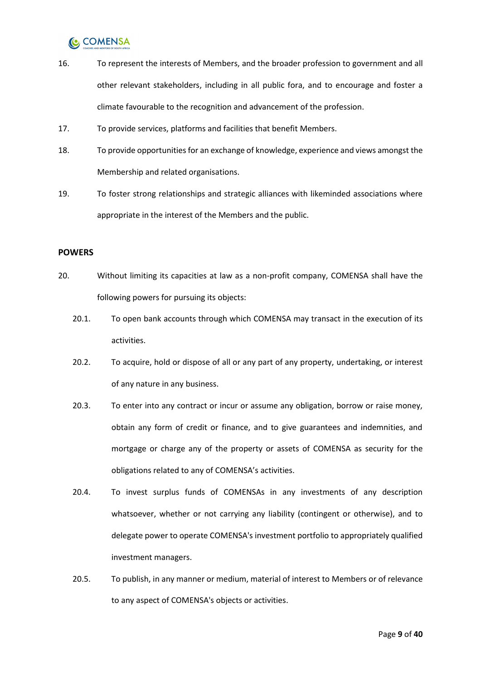- 16. To represent the interests of Members, and the broader profession to government and all other relevant stakeholders, including in all public fora, and to encourage and foster a climate favourable to the recognition and advancement of the profession.
- 17. To provide services, platforms and facilities that benefit Members.
- 18. To provide opportunities for an exchange of knowledge, experience and views amongst the Membership and related organisations.
- 19. To foster strong relationships and strategic alliances with likeminded associations where appropriate in the interest of the Members and the public.

#### <span id="page-8-0"></span>**POWERS**

- 20. Without limiting its capacities at law as a non-profit company, COMENSA shall have the following powers for pursuing its objects:
	- 20.1. To open bank accounts through which COMENSA may transact in the execution of its activities.
	- 20.2. To acquire, hold or dispose of all or any part of any property, undertaking, or interest of any nature in any business.
	- 20.3. To enter into any contract or incur or assume any obligation, borrow or raise money, obtain any form of credit or finance, and to give guarantees and indemnities, and mortgage or charge any of the property or assets of COMENSA as security for the obligations related to any of COMENSA's activities.
	- 20.4. To invest surplus funds of COMENSAs in any investments of any description whatsoever, whether or not carrying any liability (contingent or otherwise), and to delegate power to operate COMENSA's investment portfolio to appropriately qualified investment managers.
	- 20.5. To publish, in any manner or medium, material of interest to Members or of relevance to any aspect of COMENSA's objects or activities.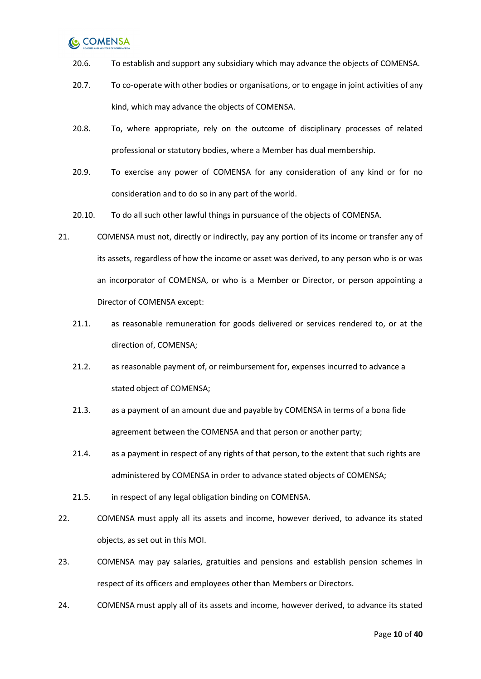- 20.6. To establish and support any subsidiary which may advance the objects of COMENSA.
- 20.7. To co-operate with other bodies or organisations, or to engage in joint activities of any kind, which may advance the objects of COMENSA.
- 20.8. To, where appropriate, rely on the outcome of disciplinary processes of related professional or statutory bodies, where a Member has dual membership.
- 20.9. To exercise any power of COMENSA for any consideration of any kind or for no consideration and to do so in any part of the world.
- 20.10. To do all such other lawful things in pursuance of the objects of COMENSA.
- <span id="page-9-0"></span>21. COMENSA must not, directly or indirectly, pay any portion of its income or transfer any of its assets, regardless of how the income or asset was derived, to any person who is or was an incorporator of COMENSA, or who is a Member or Director, or person appointing a Director of COMENSA except:
	- 21.1. as reasonable remuneration for goods delivered or services rendered to, or at the direction of, COMENSA;
	- 21.2. as reasonable payment of, or reimbursement for, expenses incurred to advance a stated object of COMENSA;
	- 21.3. as a payment of an amount due and payable by COMENSA in terms of a bona fide agreement between the COMENSA and that person or another party;
	- 21.4. as a payment in respect of any rights of that person, to the extent that such rights are administered by COMENSA in order to advance stated objects of COMENSA;
	- 21.5. in respect of any legal obligation binding on COMENSA.
- 22. COMENSA must apply all its assets and income, however derived, to advance its stated objects, as set out in this MOI.
- <span id="page-9-1"></span>23. COMENSA may pay salaries, gratuities and pensions and establish pension schemes in respect of its officers and employees other than Members or Directors.
- 24. COMENSA must apply all of its assets and income, however derived, to advance its stated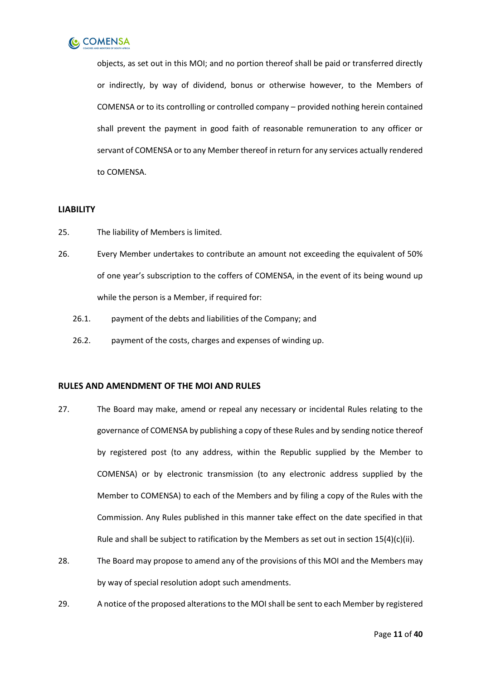

objects, as set out in this MOI; and no portion thereof shall be paid or transferred directly or indirectly, by way of dividend, bonus or otherwise however, to the Members of COMENSA or to its controlling or controlled company – provided nothing herein contained shall prevent the payment in good faith of reasonable remuneration to any officer or servant of COMENSA or to any Member thereof in return for any services actually rendered to COMENSA.

#### <span id="page-10-0"></span>**LIABILITY**

- 25. The liability of Members is limited.
- 26. Every Member undertakes to contribute an amount not exceeding the equivalent of 50% of one year's subscription to the coffers of COMENSA, in the event of its being wound up while the person is a Member, if required for:
	- 26.1. payment of the debts and liabilities of the Company; and
	- 26.2. payment of the costs, charges and expenses of winding up.

#### <span id="page-10-1"></span>**RULES AND AMENDMENT OF THE MOI AND RULES**

- 27. The Board may make, amend or repeal any necessary or incidental Rules relating to the governance of COMENSA by publishing a copy of these Rules and by sending notice thereof by registered post (to any address, within the Republic supplied by the Member to COMENSA) or by electronic transmission (to any electronic address supplied by the Member to COMENSA) to each of the Members and by filing a copy of the Rules with the Commission. Any Rules published in this manner take effect on the date specified in that Rule and shall be subject to ratification by the Members as set out in section 15(4)(c)(ii).
- 28. The Board may propose to amend any of the provisions of this MOI and the Members may by way of special resolution adopt such amendments.
- 29. A notice of the proposed alterations to the MOI shall be sent to each Member by registered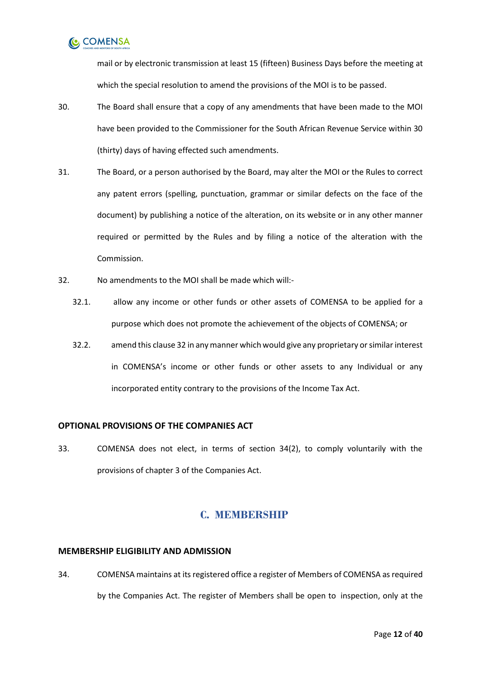

mail or by electronic transmission at least 15 (fifteen) Business Days before the meeting at which the special resolution to amend the provisions of the MOI is to be passed.

- 30. The Board shall ensure that a copy of any amendments that have been made to the MOI have been provided to the Commissioner for the South African Revenue Service within 30 (thirty) days of having effected such amendments.
- 31. The Board, or a person authorised by the Board, may alter the MOI or the Rules to correct any patent errors (spelling, punctuation, grammar or similar defects on the face of the document) by publishing a notice of the alteration, on its website or in any other manner required or permitted by the Rules and by filing a notice of the alteration with the Commission.
- <span id="page-11-3"></span>32. No amendments to the MOI shall be made which will:-
	- 32.1. allow any income or other funds or other assets of COMENSA to be applied for a purpose which does not promote the achievement of the objects of COMENSA; or
	- 32.2. amend this clause [32](#page-11-3) in any manner which would give any proprietary or similar interest in COMENSA's income or other funds or other assets to any Individual or any incorporated entity contrary to the provisions of the Income Tax Act.

#### <span id="page-11-0"></span>**OPTIONAL PROVISIONS OF THE COMPANIES ACT**

33. COMENSA does not elect, in terms of section 34(2), to comply voluntarily with the provisions of chapter 3 of the Companies Act.

### **C. MEMBERSHIP**

#### <span id="page-11-2"></span><span id="page-11-1"></span>**MEMBERSHIP ELIGIBILITY AND ADMISSION**

34. COMENSA maintains at its registered office a register of Members of COMENSA as required by the Companies Act. The register of Members shall be open to inspection, only at the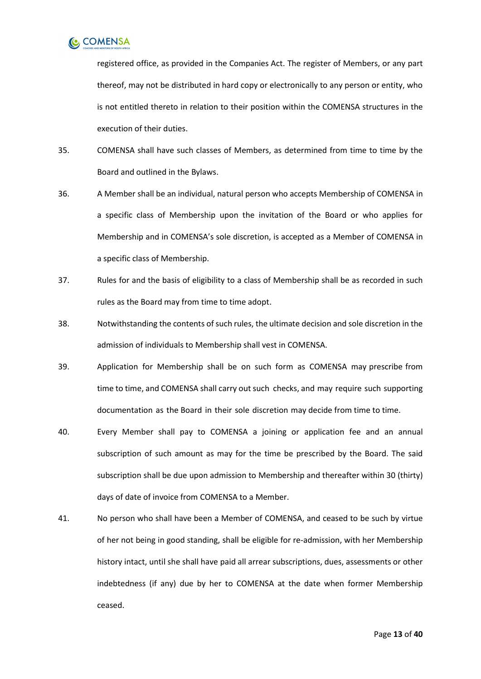

registered office, as provided in the Companies Act. The register of Members, or any part thereof, may not be distributed in hard copy or electronically to any person or entity, who is not entitled thereto in relation to their position within the COMENSA structures in the execution of their duties.

- 35. COMENSA shall have such classes of Members, as determined from time to time by the Board and outlined in the Bylaws.
- 36. A Member shall be an individual, natural person who accepts Membership of COMENSA in a specific class of Membership upon the invitation of the Board or who applies for Membership and in COMENSA's sole discretion, is accepted as a Member of COMENSA in a specific class of Membership.
- 37. Rules for and the basis of eligibility to a class of Membership shall be as recorded in such rules as the Board may from time to time adopt.
- 38. Notwithstanding the contents of such rules, the ultimate decision and sole discretion in the admission of individuals to Membership shall vest in COMENSA.
- 39. Application for Membership shall be on such form as COMENSA may prescribe from time to time, and COMENSA shall carry out such checks, and may require such supporting documentation as the Board in their sole discretion may decide from time to time.
- 40. Every Member shall pay to COMENSA a joining or application fee and an annual subscription of such amount as may for the time be prescribed by the Board. The said subscription shall be due upon admission to Membership and thereafter within 30 (thirty) days of date of invoice from COMENSA to a Member.
- 41. No person who shall have been a Member of COMENSA, and ceased to be such by virtue of her not being in good standing, shall be eligible for re-admission, with her Membership history intact, until she shall have paid all arrear subscriptions, dues, assessments or other indebtedness (if any) due by her to COMENSA at the date when former Membership ceased.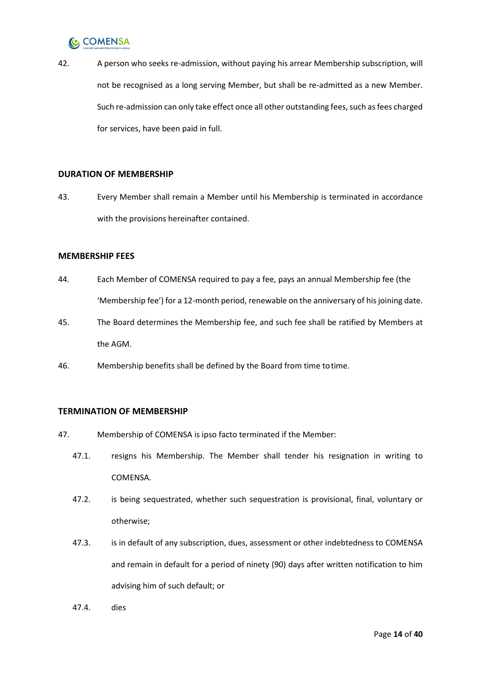

42. A person who seeks re-admission, without paying his arrear Membership subscription, will not be recognised as a long serving Member, but shall be re-admitted as a new Member. Such re-admission can only take effect once all other outstanding fees, such as fees charged for services, have been paid in full.

#### <span id="page-13-0"></span>**DURATION OF MEMBERSHIP**

43. Every Member shall remain a Member until his Membership is terminated in accordance with the provisions hereinafter contained.

#### <span id="page-13-1"></span>**MEMBERSHIP FEES**

- 44. Each Member of COMENSA required to pay a fee, pays an annual Membership fee (the 'Membership fee') for a 12-month period, renewable on the anniversary of his joining date.
- 45. The Board determines the Membership fee, and such fee shall be ratified by Members at the AGM.
- 46. Membership benefits shall be defined by the Board from time totime.

#### <span id="page-13-2"></span>**TERMINATION OF MEMBERSHIP**

- 47. Membership of COMENSA is ipso facto terminated if the Member:
	- 47.1. resigns his Membership. The Member shall tender his resignation in writing to COMENSA.
	- 47.2. is being sequestrated, whether such sequestration is provisional, final, voluntary or otherwise;
	- 47.3. is in default of any subscription, dues, assessment or other indebtedness to COMENSA and remain in default for a period of ninety (90) days after written notification to him advising him of such default; or
	- 47.4. dies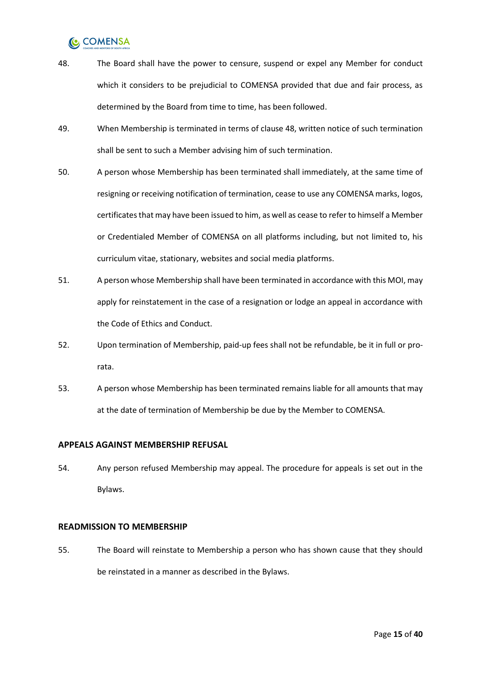- <span id="page-14-2"></span>48. The Board shall have the power to censure, suspend or expel any Member for conduct which it considers to be prejudicial to COMENSA provided that due and fair process, as determined by the Board from time to time, has been followed.
- 49. When Membership is terminated in terms of clause [48,](#page-14-2) written notice of such termination shall be sent to such a Member advising him of such termination.
- 50. A person whose Membership has been terminated shall immediately, at the same time of resigning or receiving notification of termination, cease to use any COMENSA marks, logos, certificates that may have been issued to him, as well as cease to refer to himself a Member or Credentialed Member of COMENSA on all platforms including, but not limited to, his curriculum vitae, stationary, websites and social media platforms.
- 51. A person whose Membership shall have been terminated in accordance with this MOI, may apply for reinstatement in the case of a resignation or lodge an appeal in accordance with the Code of Ethics and Conduct.
- 52. Upon termination of Membership, paid-up fees shall not be refundable, be it in full or prorata.
- 53. A person whose Membership has been terminated remains liable for all amounts that may at the date of termination of Membership be due by the Member to COMENSA.

#### <span id="page-14-0"></span>**APPEALS AGAINST MEMBERSHIP REFUSAL**

54. Any person refused Membership may appeal. The procedure for appeals is set out in the Bylaws.

#### <span id="page-14-1"></span>**READMISSION TO MEMBERSHIP**

55. The Board will reinstate to Membership a person who has shown cause that they should be reinstated in a manner as described in the Bylaws.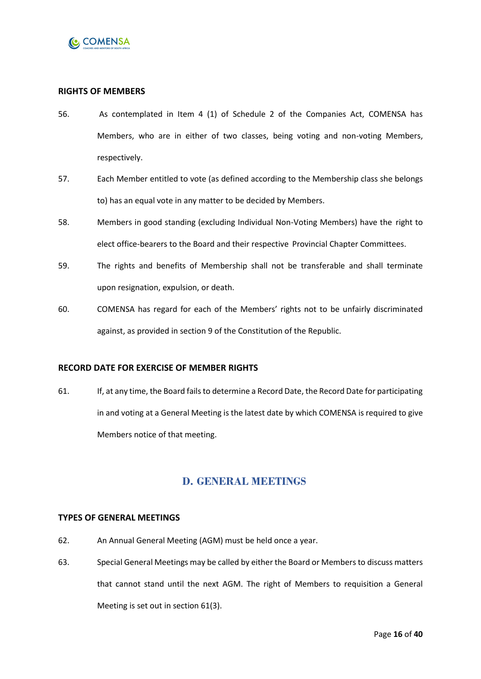

#### <span id="page-15-0"></span>**RIGHTS OF MEMBERS**

- 56. As contemplated in Item 4 (1) of Schedule 2 of the Companies Act, COMENSA has Members, who are in either of two classes, being voting and non-voting Members, respectively.
- 57. Each Member entitled to vote (as defined according to the Membership class she belongs to) has an equal vote in any matter to be decided by Members.
- 58. Members in good standing (excluding Individual Non-Voting Members) have the right to elect office-bearers to the Board and their respective Provincial Chapter Committees.
- 59. The rights and benefits of Membership shall not be transferable and shall terminate upon resignation, expulsion, or death.
- 60. COMENSA has regard for each of the Members' rights not to be unfairly discriminated against, as provided in section 9 of the Constitution of the Republic.

#### <span id="page-15-1"></span>**RECORD DATE FOR EXERCISE OF MEMBER RIGHTS**

61. If, at any time, the Board fails to determine a Record Date, the Record Date for participating in and voting at a General Meeting is the latest date by which COMENSA is required to give Members notice of that meeting.

### **D. GENERAL MEETINGS**

#### <span id="page-15-3"></span><span id="page-15-2"></span>**TYPES OF GENERAL MEETINGS**

- 62. An Annual General Meeting (AGM) must be held once a year.
- 63. Special General Meetings may be called by either the Board or Members to discuss matters that cannot stand until the next AGM. The right of Members to requisition a General Meeting is set out in section 61(3).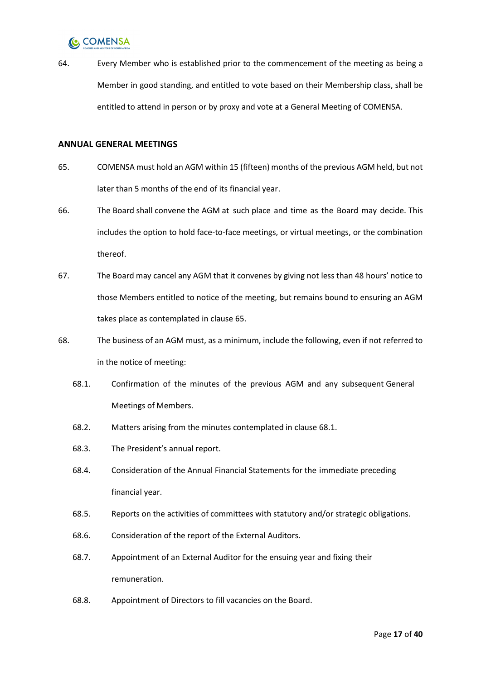

64. Every Member who is established prior to the commencement of the meeting as being a Member in good standing, and entitled to vote based on their Membership class, shall be entitled to attend in person or by proxy and vote at a General Meeting of COMENSA.

#### <span id="page-16-0"></span>**ANNUAL GENERAL MEETINGS**

- <span id="page-16-1"></span>65. COMENSA must hold an AGM within 15 (fifteen) months of the previous AGM held, but not later than 5 months of the end of its financial year.
- 66. The Board shall convene the AGM at such place and time as the Board may decide. This includes the option to hold face-to-face meetings, or virtual meetings, or the combination thereof.
- 67. The Board may cancel any AGM that it convenes by giving not less than 48 hours' notice to those Members entitled to notice of the meeting, but remains bound to ensuring an AGM takes place as contemplated in clause [65.](#page-16-1)
- <span id="page-16-3"></span><span id="page-16-2"></span>68. The business of an AGM must, as a minimum, include the following, even if not referred to in the notice of meeting:
	- 68.1. Confirmation of the minutes of the previous AGM and any subsequent General Meetings of Members.
	- 68.2. Matters arising from the minutes contemplated in clause [68.1.](#page-16-2)
	- 68.3. The President's annual report.
	- 68.4. Consideration of the Annual Financial Statements for the immediate preceding financial year.
	- 68.5. Reports on the activities of committees with statutory and/or strategic obligations.
	- 68.6. Consideration of the report of the External Auditors.
	- 68.7. Appointment of an External Auditor for the ensuing year and fixing their remuneration.
	- 68.8. Appointment of Directors to fill vacancies on the Board.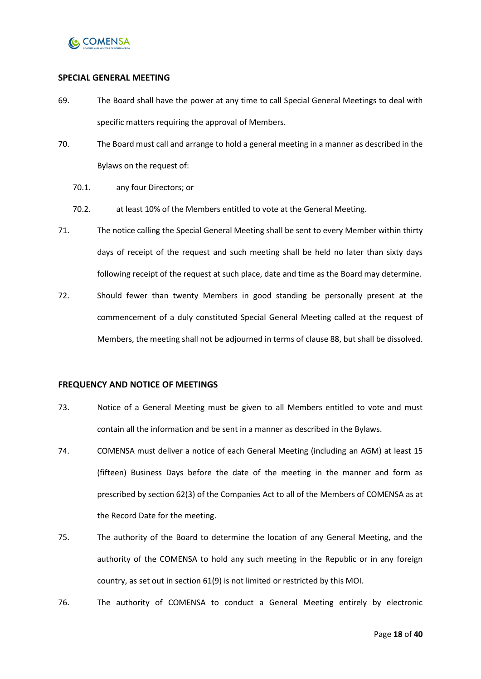

#### <span id="page-17-0"></span>**SPECIAL GENERAL MEETING**

- 69. The Board shall have the power at any time to call Special General Meetings to deal with specific matters requiring the approval of Members.
- 70. The Board must call and arrange to hold a general meeting in a manner as described in the Bylaws on the request of:
	- 70.1. any four Directors; or
	- 70.2. at least 10% of the Members entitled to vote at the General Meeting.
- 71. The notice calling the Special General Meeting shall be sent to every Member within thirty days of receipt of the request and such meeting shall be held no later than sixty days following receipt of the request at such place, date and time as the Board may determine.
- 72. Should fewer than twenty Members in good standing be personally present at the commencement of a duly constituted Special General Meeting called at the request of Members, the meeting shall not be adjourned in terms of clause [88,](#page-19-1) but shall be dissolved.

#### <span id="page-17-1"></span>**FREQUENCY AND NOTICE OF MEETINGS**

- 73. Notice of a General Meeting must be given to all Members entitled to vote and must contain all the information and be sent in a manner as described in the Bylaws.
- 74. COMENSA must deliver a notice of each General Meeting (including an AGM) at least 15 (fifteen) Business Days before the date of the meeting in the manner and form as prescribed by section 62(3) of the Companies Act to all of the Members of COMENSA as at the Record Date for the meeting.
- 75. The authority of the Board to determine the location of any General Meeting, and the authority of the COMENSA to hold any such meeting in the Republic or in any foreign country, as set out in section 61(9) is not limited or restricted by this MOI.
- 76. The authority of COMENSA to conduct a General Meeting entirely by electronic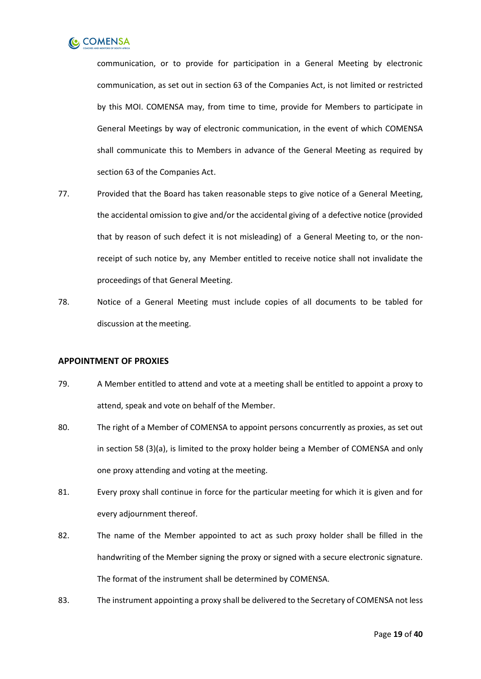

communication, or to provide for participation in a General Meeting by electronic communication, as set out in section 63 of the Companies Act, is not limited or restricted by this MOI. COMENSA may, from time to time, provide for Members to participate in General Meetings by way of electronic communication, in the event of which COMENSA shall communicate this to Members in advance of the General Meeting as required by section 63 of the Companies Act.

- 77. Provided that the Board has taken reasonable steps to give notice of a General Meeting, the accidental omission to give and/or the accidental giving of a defective notice (provided that by reason of such defect it is not misleading) of a General Meeting to, or the nonreceipt of such notice by, any Member entitled to receive notice shall not invalidate the proceedings of that General Meeting.
- 78. Notice of a General Meeting must include copies of all documents to be tabled for discussion at the meeting.

#### <span id="page-18-0"></span>**APPOINTMENT OF PROXIES**

- 79. A Member entitled to attend and vote at a meeting shall be entitled to appoint a proxy to attend, speak and vote on behalf of the Member.
- 80. The right of a Member of COMENSA to appoint persons concurrently as proxies, as set out in section 58 (3)(a), is limited to the proxy holder being a Member of COMENSA and only one proxy attending and voting at the meeting.
- 81. Every proxy shall continue in force for the particular meeting for which it is given and for every adjournment thereof.
- 82. The name of the Member appointed to act as such proxy holder shall be filled in the handwriting of the Member signing the proxy or signed with a secure electronic signature. The format of the instrument shall be determined by COMENSA.
- 83. The instrument appointing a proxy shall be delivered to the Secretary of COMENSA not less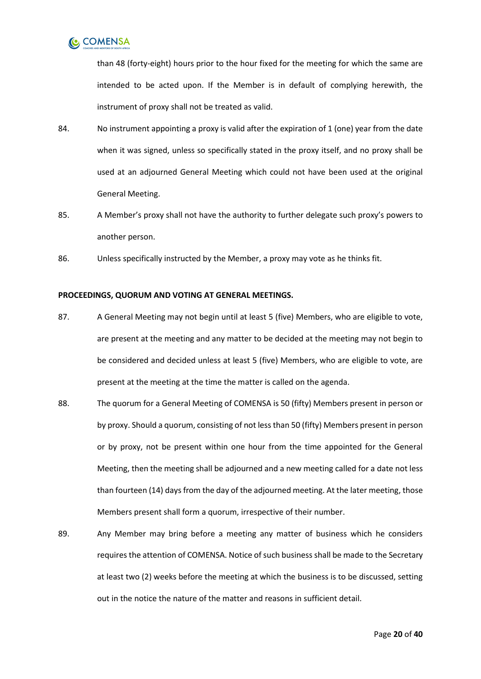

than 48 (forty-eight) hours prior to the hour fixed for the meeting for which the same are intended to be acted upon. If the Member is in default of complying herewith, the instrument of proxy shall not be treated as valid.

- 84. No instrument appointing a proxy is valid after the expiration of 1 (one) year from the date when it was signed, unless so specifically stated in the proxy itself, and no proxy shall be used at an adjourned General Meeting which could not have been used at the original General Meeting.
- 85. A Member's proxy shall not have the authority to further delegate such proxy's powers to another person.
- 86. Unless specifically instructed by the Member, a proxy may vote as he thinks fit.

#### <span id="page-19-0"></span>**PROCEEDINGS, QUORUM AND VOTING AT GENERAL MEETINGS.**

- 87. A General Meeting may not begin until at least 5 (five) Members, who are eligible to vote, are present at the meeting and any matter to be decided at the meeting may not begin to be considered and decided unless at least 5 (five) Members, who are eligible to vote, are present at the meeting at the time the matter is called on the agenda.
- <span id="page-19-1"></span>88. The quorum for a General Meeting of COMENSA is 50 (fifty) Members present in person or by proxy. Should a quorum, consisting of not less than 50 (fifty) Members present in person or by proxy, not be present within one hour from the time appointed for the General Meeting, then the meeting shall be adjourned and a new meeting called for a date not less than fourteen (14) days from the day of the adjourned meeting. At the later meeting, those Members present shall form a quorum, irrespective of their number.
- 89. Any Member may bring before a meeting any matter of business which he considers requires the attention of COMENSA. Notice of such business shall be made to the Secretary at least two (2) weeks before the meeting at which the business is to be discussed, setting out in the notice the nature of the matter and reasons in sufficient detail.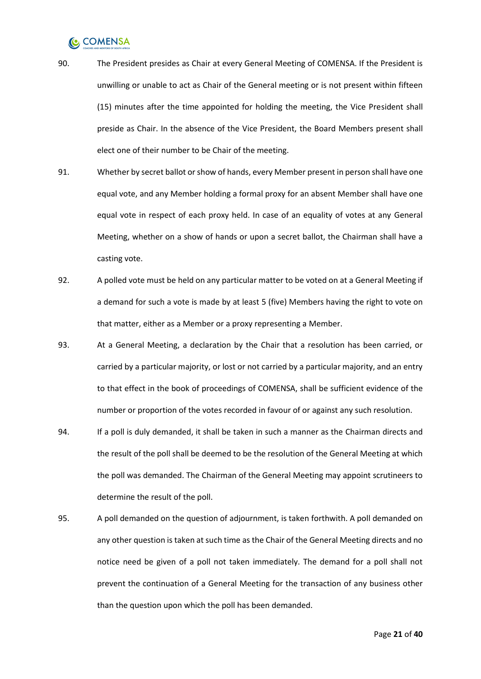- 90. The President presides as Chair at every General Meeting of COMENSA. If the President is unwilling or unable to act as Chair of the General meeting or is not present within fifteen (15) minutes after the time appointed for holding the meeting, the Vice President shall preside as Chair. In the absence of the Vice President, the Board Members present shall elect one of their number to be Chair of the meeting.
- 91. Whether by secret ballot or show of hands, every Member present in person shall have one equal vote, and any Member holding a formal proxy for an absent Member shall have one equal vote in respect of each proxy held. In case of an equality of votes at any General Meeting, whether on a show of hands or upon a secret ballot, the Chairman shall have a casting vote.
- 92. A polled vote must be held on any particular matter to be voted on at a General Meeting if a demand for such a vote is made by at least 5 (five) Members having the right to vote on that matter, either as a Member or a proxy representing a Member.
- 93. At a General Meeting, a declaration by the Chair that a resolution has been carried, or carried by a particular majority, or lost or not carried by a particular majority, and an entry to that effect in the book of proceedings of COMENSA, shall be sufficient evidence of the number or proportion of the votes recorded in favour of or against any such resolution.
- 94. If a poll is duly demanded, it shall be taken in such a manner as the Chairman directs and the result of the poll shall be deemed to be the resolution of the General Meeting at which the poll was demanded. The Chairman of the General Meeting may appoint scrutineers to determine the result of the poll.
- 95. A poll demanded on the question of adjournment, is taken forthwith. A poll demanded on any other question is taken at such time as the Chair of the General Meeting directs and no notice need be given of a poll not taken immediately. The demand for a poll shall not prevent the continuation of a General Meeting for the transaction of any business other than the question upon which the poll has been demanded.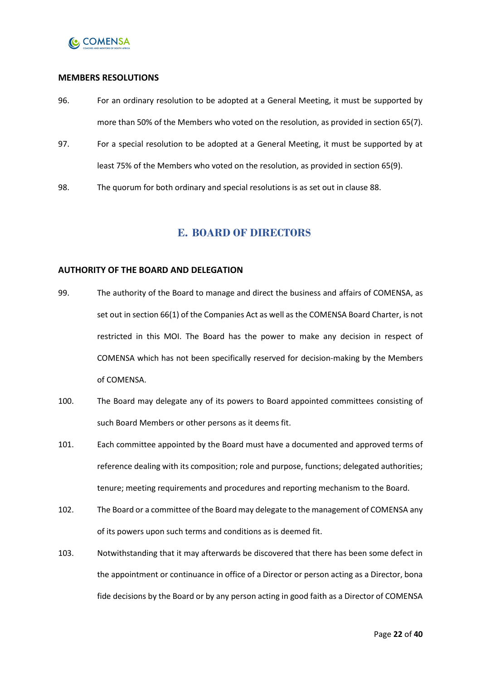

#### <span id="page-21-0"></span>**MEMBERS RESOLUTIONS**

- 96. For an ordinary resolution to be adopted at a General Meeting, it must be supported by more than 50% of the Members who voted on the resolution, as provided in section 65(7).
- 97. For a special resolution to be adopted at a General Meeting, it must be supported by at least 75% of the Members who voted on the resolution, as provided in section 65(9).
- 98. The quorum for both ordinary and special resolutions is as set out in clause [88.](#page-19-1)

### **E. BOARD OF DIRECTORS**

#### <span id="page-21-2"></span><span id="page-21-1"></span>**AUTHORITY OF THE BOARD AND DELEGATION**

- 99. The authority of the Board to manage and direct the business and affairs of COMENSA, as set out in section 66(1) of the Companies Act as well as the COMENSA Board Charter, is not restricted in this MOI. The Board has the power to make any decision in respect of COMENSA which has not been specifically reserved for decision-making by the Members of COMENSA.
- 100. The Board may delegate any of its powers to Board appointed committees consisting of such Board Members or other persons as it deems fit.
- 101. Each committee appointed by the Board must have a documented and approved terms of reference dealing with its composition; role and purpose, functions; delegated authorities; tenure; meeting requirements and procedures and reporting mechanism to the Board.
- 102. The Board or a committee of the Board may delegate to the management of COMENSA any of its powers upon such terms and conditions as is deemed fit.
- 103. Notwithstanding that it may afterwards be discovered that there has been some defect in the appointment or continuance in office of a Director or person acting as a Director, bona fide decisions by the Board or by any person acting in good faith as a Director of COMENSA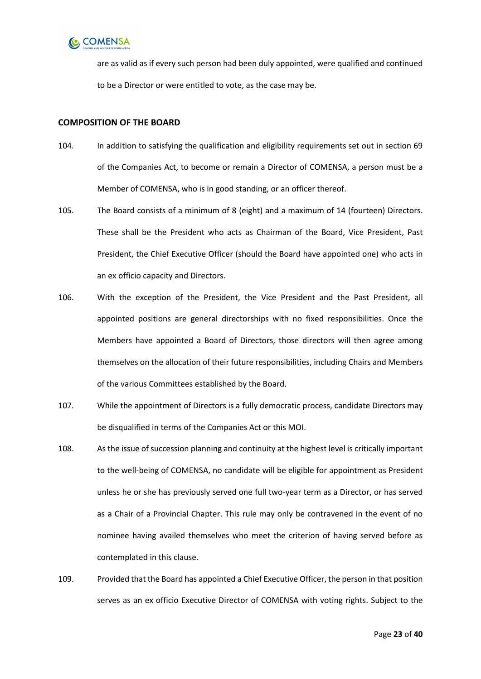

are as valid as if every such person had been duly appointed, were qualified and continued to be a Director or were entitled to vote, as the case may be.

#### <span id="page-22-0"></span>**COMPOSITION OF THE BOARD**

- 104. In addition to satisfying the qualification and eligibility requirements set out in section 69 of the Companies Act, to become or remain a Director of COMENSA, a person must be a Member of COMENSA, who is in good standing, or an officer thereof.
- <span id="page-22-1"></span>105. The Board consists of a minimum of 8 (eight) and a maximum of 14 (fourteen) Directors. These shall be the President who acts as Chairman of the Board, Vice President, Past President, the Chief Executive Officer (should the Board have appointed one) who acts in an ex officio capacity and Directors.
- 106. With the exception of the President, the Vice President and the Past President, all appointed positions are general directorships with no fixed responsibilities. Once the Members have appointed a Board of Directors, those directors will then agree among themselves on the allocation of their future responsibilities, including Chairs and Members of the various Committees established by the Board.
- 107. While the appointment of Directors is a fully democratic process, candidate Directors may be disqualified in terms of the Companies Act or this MOI.
- 108. As the issue of succession planning and continuity at the highest level is critically important to the well-being of COMENSA, no candidate will be eligible for appointment as President unless he or she has previously served one full two-year term as a Director, or has served as a Chair of a Provincial Chapter. This rule may only be contravened in the event of no nominee having availed themselves who meet the criterion of having served before as contemplated in this clause.
- 109. Provided that the Board has appointed a Chief Executive Officer, the person in that position serves as an ex officio Executive Director of COMENSA with voting rights. Subject to the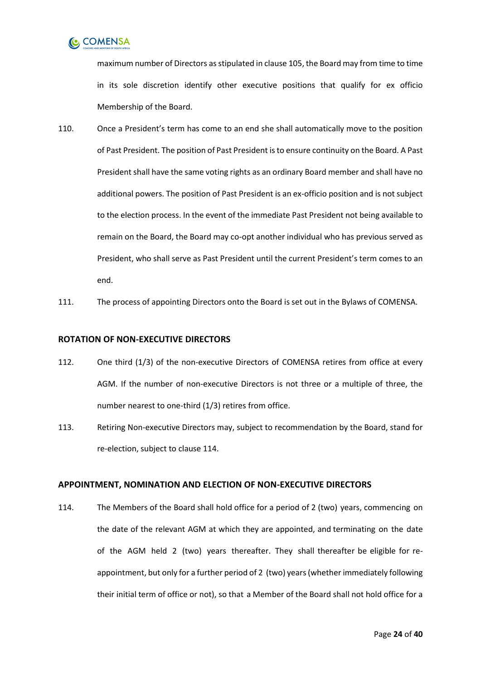

maximum number of Directors as stipulated in claus[e 105,](#page-22-1) the Board may from time to time in its sole discretion identify other executive positions that qualify for ex officio Membership of the Board.

- 110. Once a President's term has come to an end she shall automatically move to the position of Past President. The position of Past President is to ensure continuity on the Board. A Past President shall have the same voting rights as an ordinary Board member and shall have no additional powers. The position of Past President is an ex-officio position and is not subject to the election process. In the event of the immediate Past President not being available to remain on the Board, the Board may co-opt another individual who has previous served as President, who shall serve as Past President until the current President's term comes to an end.
- 111. The process of appointing Directors onto the Board is set out in the Bylaws of COMENSA.

#### <span id="page-23-0"></span>**ROTATION OF NON-EXECUTIVE DIRECTORS**

- 112. One third (1/3) of the non-executive Directors of COMENSA retires from office at every AGM. If the number of non-executive Directors is not three or a multiple of three, the number nearest to one-third (1/3) retires from office.
- 113. Retiring Non-executive Directors may, subject to recommendation by the Board, stand for re-election, subject to clause [114.](#page-23-2)

#### <span id="page-23-1"></span>**APPOINTMENT, NOMINATION AND ELECTION OF NON-EXECUTIVE DIRECTORS**

<span id="page-23-2"></span>114. The Members of the Board shall hold office for a period of 2 (two) years, commencing on the date of the relevant AGM at which they are appointed, and terminating on the date of the AGM held 2 (two) years thereafter. They shall thereafter be eligible for reappointment, but only for a further period of 2 (two) years (whether immediately following their initial term of office or not), so that a Member of the Board shall not hold office for a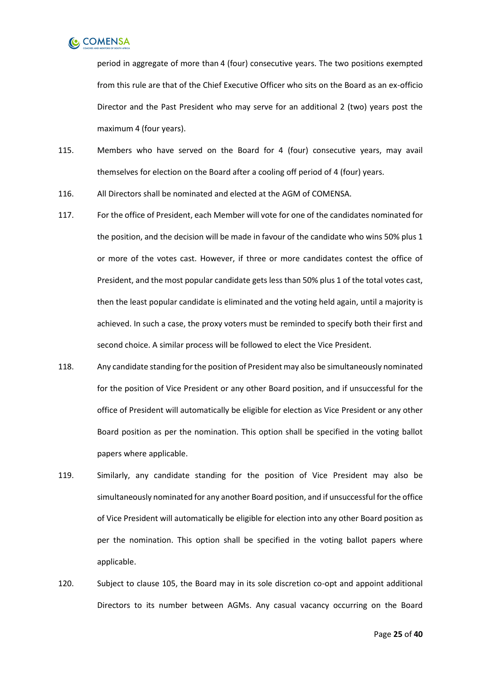

period in aggregate of more than 4 (four) consecutive years. The two positions exempted from this rule are that of the Chief Executive Officer who sits on the Board as an ex-officio Director and the Past President who may serve for an additional 2 (two) years post the maximum 4 (four years).

- 115. Members who have served on the Board for 4 (four) consecutive years, may avail themselves for election on the Board after a cooling off period of 4 (four) years.
- 116. All Directors shall be nominated and elected at the AGM of COMENSA.
- 117. For the office of President, each Member will vote for one of the candidates nominated for the position, and the decision will be made in favour of the candidate who wins 50% plus 1 or more of the votes cast. However, if three or more candidates contest the office of President, and the most popular candidate gets less than 50% plus 1 of the total votes cast, then the least popular candidate is eliminated and the voting held again, until a majority is achieved. In such a case, the proxy voters must be reminded to specify both their first and second choice. A similar process will be followed to elect the Vice President.
- 118. Any candidate standing for the position of President may also be simultaneously nominated for the position of Vice President or any other Board position, and if unsuccessful for the office of President will automatically be eligible for election as Vice President or any other Board position as per the nomination. This option shall be specified in the voting ballot papers where applicable.
- 119. Similarly, any candidate standing for the position of Vice President may also be simultaneously nominated for any another Board position, and if unsuccessful for the office of Vice President will automatically be eligible for election into any other Board position as per the nomination. This option shall be specified in the voting ballot papers where applicable.
- <span id="page-24-0"></span>120. Subject to clause [105,](#page-22-1) the Board may in its sole discretion co-opt and appoint additional Directors to its number between AGMs. Any casual vacancy occurring on the Board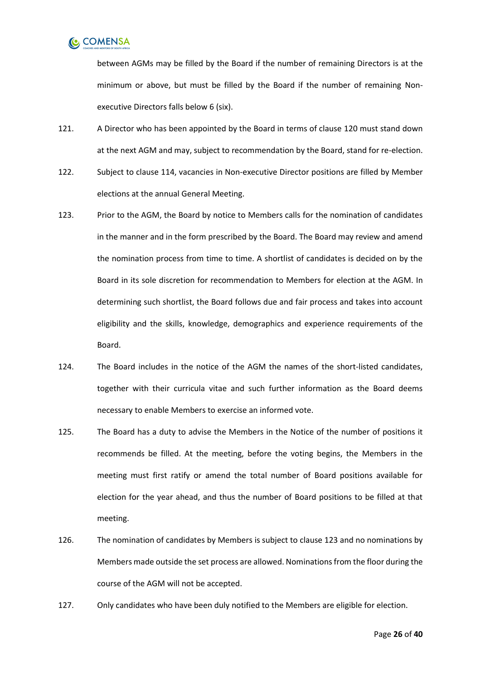

between AGMs may be filled by the Board if the number of remaining Directors is at the minimum or above, but must be filled by the Board if the number of remaining Nonexecutive Directors falls below 6 (six).

- 121. A Director who has been appointed by the Board in terms of clause [120](#page-24-0) must stand down at the next AGM and may, subject to recommendation by the Board, stand for re-election.
- 122. Subject to clause [114,](#page-23-2) vacancies in Non-executive Director positions are filled by Member elections at the annual General Meeting.
- <span id="page-25-0"></span>123. Prior to the AGM, the Board by notice to Members calls for the nomination of candidates in the manner and in the form prescribed by the Board. The Board may review and amend the nomination process from time to time. A shortlist of candidates is decided on by the Board in its sole discretion for recommendation to Members for election at the AGM. In determining such shortlist, the Board follows due and fair process and takes into account eligibility and the skills, knowledge, demographics and experience requirements of the Board.
- 124. The Board includes in the notice of the AGM the names of the short-listed candidates, together with their curricula vitae and such further information as the Board deems necessary to enable Members to exercise an informed vote.
- 125. The Board has a duty to advise the Members in the Notice of the number of positions it recommends be filled. At the meeting, before the voting begins, the Members in the meeting must first ratify or amend the total number of Board positions available for election for the year ahead, and thus the number of Board positions to be filled at that meeting.
- 126. The nomination of candidates by Members is subject to claus[e 123](#page-25-0) and no nominations by Members made outside the set process are allowed. Nominations from the floor during the course of the AGM will not be accepted.
- 127. Only candidates who have been duly notified to the Members are eligible for election.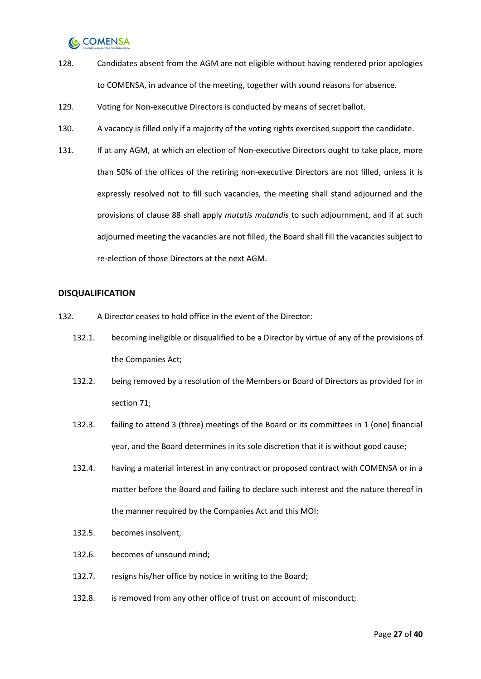- 128. Candidates absent from the AGM are not eligible without having rendered prior apologies to COMENSA, in advance of the meeting, together with sound reasons for absence.
- 129. Voting for Non-executive Directors is conducted by means of secret ballot.
- 130. A vacancy is filled only if a majority of the voting rights exercised support the candidate.
- 131. If at any AGM, at which an election of Non-executive Directors ought to take place, more than 50% of the offices of the retiring non-executive Directors are not filled, unless it is expressly resolved not to fill such vacancies, the meeting shall stand adjourned and the provisions of clause [88](#page-19-1) shall apply *mutatis mutandis* to such adjournment, and if at such adjourned meeting the vacancies are not filled, the Board shall fill the vacancies subject to re-election of those Directors at the next AGM.

#### <span id="page-26-0"></span>**DISQUALIFICATION**

- 132. A Director ceases to hold office in the event of the Director:
	- 132.1. becoming ineligible or disqualified to be a Director by virtue of any of the provisions of the Companies Act;
	- 132.2. being removed by a resolution of the Members or Board of Directors as provided for in section 71;
	- 132.3. failing to attend 3 (three) meetings of the Board or its committees in 1 (one) financial year, and the Board determines in its sole discretion that it is without good cause;
	- 132.4. having a material interest in any contract or proposed contract with COMENSA or in a matter before the Board and failing to declare such interest and the nature thereof in the manner required by the Companies Act and this MOI:
	- 132.5. becomes insolvent;
	- 132.6. becomes of unsound mind;
	- 132.7. resigns his/her office by notice in writing to the Board;
	- 132.8. is removed from any other office of trust on account of misconduct;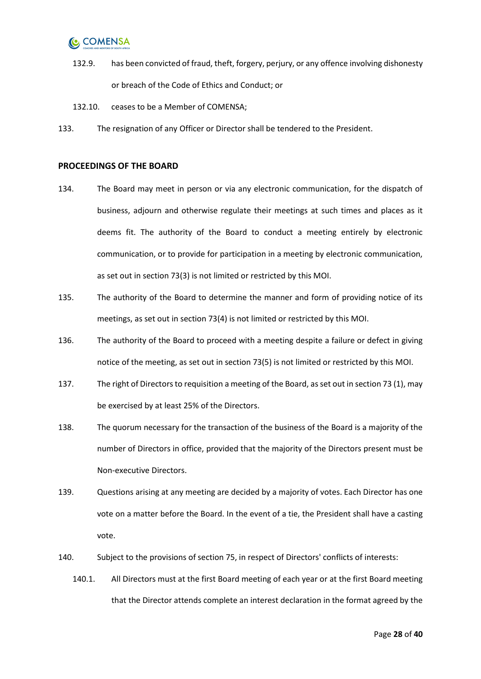- 132.9. has been convicted of fraud, theft, forgery, perjury, or any offence involving dishonesty or breach of the Code of Ethics and Conduct; or
- 132.10. ceases to be a Member of COMENSA;
- 133. The resignation of any Officer or Director shall be tendered to the President.

#### <span id="page-27-0"></span>**PROCEEDINGS OF THE BOARD**

- 134. The Board may meet in person or via any electronic communication, for the dispatch of business, adjourn and otherwise regulate their meetings at such times and places as it deems fit. The authority of the Board to conduct a meeting entirely by electronic communication, or to provide for participation in a meeting by electronic communication, as set out in section 73(3) is not limited or restricted by this MOI.
- 135. The authority of the Board to determine the manner and form of providing notice of its meetings, as set out in section 73(4) is not limited or restricted by this MOI.
- 136. The authority of the Board to proceed with a meeting despite a failure or defect in giving notice of the meeting, as set out in section 73(5) is not limited or restricted by this MOI.
- 137. The right of Directors to requisition a meeting of the Board, as set out in section 73 (1), may be exercised by at least 25% of the Directors.
- 138. The quorum necessary for the transaction of the business of the Board is a majority of the number of Directors in office, provided that the majority of the Directors present must be Non-executive Directors.
- 139. Questions arising at any meeting are decided by a majority of votes. Each Director has one vote on a matter before the Board. In the event of a tie, the President shall have a casting vote.
- 140. Subject to the provisions of section 75, in respect of Directors' conflicts of interests:
	- 140.1. All Directors must at the first Board meeting of each year or at the first Board meeting that the Director attends complete an interest declaration in the format agreed by the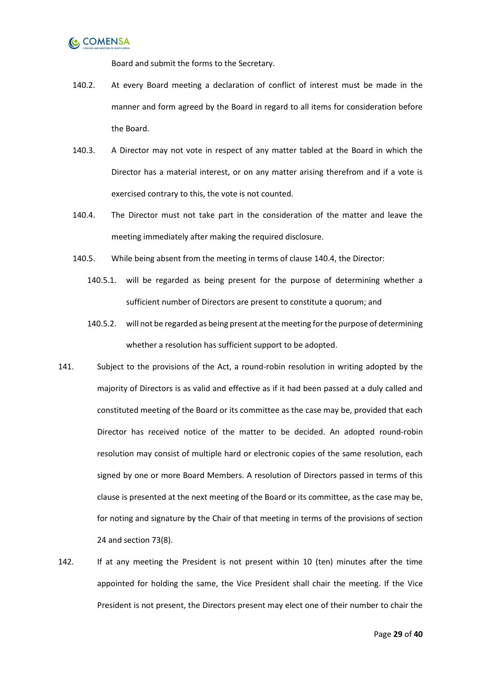

Board and submit the forms to the Secretary.

- 140.2. At every Board meeting a declaration of conflict of interest must be made in the manner and form agreed by the Board in regard to all items for consideration before the Board.
- 140.3. A Director may not vote in respect of any matter tabled at the Board in which the Director has a material interest, or on any matter arising therefrom and if a vote is exercised contrary to this, the vote is not counted.
- <span id="page-28-0"></span>140.4. The Director must not take part in the consideration of the matter and leave the meeting immediately after making the required disclosure.
- 140.5. While being absent from the meeting in terms of clause [140.4,](#page-28-0) the Director:
	- 140.5.1. will be regarded as being present for the purpose of determining whether a sufficient number of Directors are present to constitute a quorum; and
	- 140.5.2. will not be regarded as being present at the meeting for the purpose of determining whether a resolution has sufficient support to be adopted.
- <span id="page-28-1"></span>141. Subject to the provisions of the Act, a round-robin resolution in writing adopted by the majority of Directors is as valid and effective as if it had been passed at a duly called and constituted meeting of the Board or its committee as the case may be, provided that each Director has received notice of the matter to be decided. An adopted round-robin resolution may consist of multiple hard or electronic copies of the same resolution, each signed by one or more Board Members. A resolution of Directors passed in terms of this clause is presented at the next meeting of the Board or its committee, as the case may be, for noting and signature by the Chair of that meeting in terms of the provisions of section 24 and section 73(8).
- 142. If at any meeting the President is not present within 10 (ten) minutes after the time appointed for holding the same, the Vice President shall chair the meeting. If the Vice President is not present, the Directors present may elect one of their number to chair the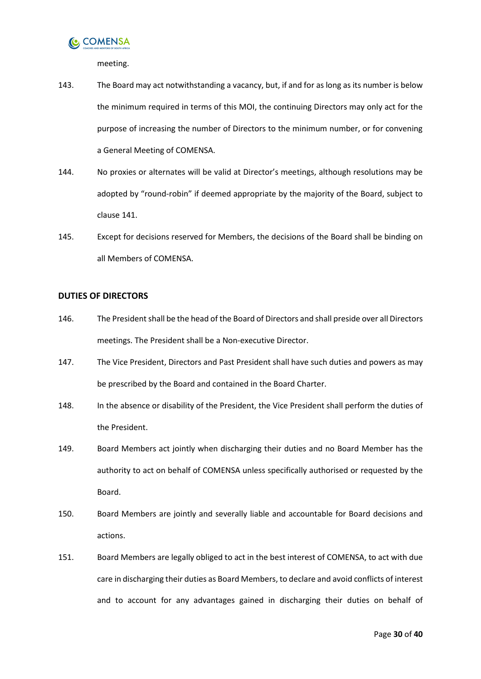

meeting.

- 143. The Board may act notwithstanding a vacancy, but, if and for as long as its number is below the minimum required in terms of this MOI, the continuing Directors may only act for the purpose of increasing the number of Directors to the minimum number, or for convening a General Meeting of COMENSA.
- 144. No proxies or alternates will be valid at Director's meetings, although resolutions may be adopted by "round-robin" if deemed appropriate by the majority of the Board, subject to claus[e 141.](#page-28-1)
- 145. Except for decisions reserved for Members, the decisions of the Board shall be binding on all Members of COMENSA.

#### <span id="page-29-0"></span>**DUTIES OF DIRECTORS**

- 146. The President shall be the head of the Board of Directors and shall preside over all Directors meetings. The President shall be a Non-executive Director.
- 147. The Vice President, Directors and Past President shall have such duties and powers as may be prescribed by the Board and contained in the Board Charter.
- 148. In the absence or disability of the President, the Vice President shall perform the duties of the President.
- 149. Board Members act jointly when discharging their duties and no Board Member has the authority to act on behalf of COMENSA unless specifically authorised or requested by the Board.
- 150. Board Members are jointly and severally liable and accountable for Board decisions and actions.
- 151. Board Members are legally obliged to act in the best interest of COMENSA, to act with due care in discharging their duties as Board Members, to declare and avoid conflicts of interest and to account for any advantages gained in discharging their duties on behalf of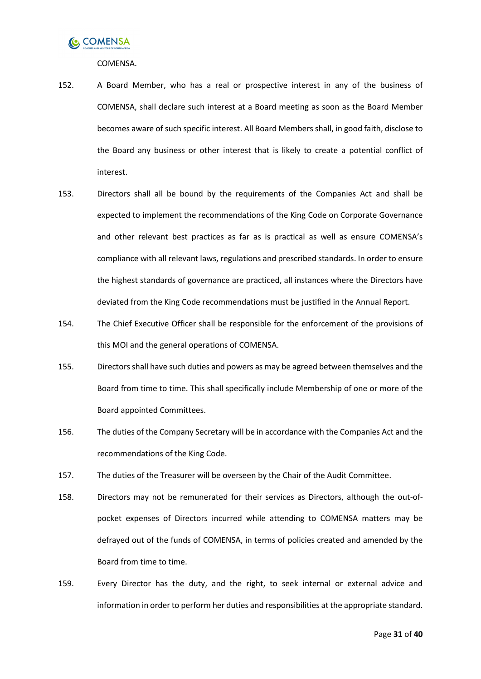

COMENSA.

- 152. A Board Member, who has a real or prospective interest in any of the business of COMENSA, shall declare such interest at a Board meeting as soon as the Board Member becomes aware of such specific interest. All Board Members shall, in good faith, disclose to the Board any business or other interest that is likely to create a potential conflict of interest.
- 153. Directors shall all be bound by the requirements of the Companies Act and shall be expected to implement the recommendations of the King Code on Corporate Governance and other relevant best practices as far as is practical as well as ensure COMENSA's compliance with all relevant laws, regulations and prescribed standards. In order to ensure the highest standards of governance are practiced, all instances where the Directors have deviated from the King Code recommendations must be justified in the Annual Report.
- 154. The Chief Executive Officer shall be responsible for the enforcement of the provisions of this MOI and the general operations of COMENSA.
- 155. Directors shall have such duties and powers as may be agreed between themselves and the Board from time to time. This shall specifically include Membership of one or more of the Board appointed Committees.
- 156. The duties of the Company Secretary will be in accordance with the Companies Act and the recommendations of the King Code.
- 157. The duties of the Treasurer will be overseen by the Chair of the Audit Committee.
- 158. Directors may not be remunerated for their services as Directors, although the out-ofpocket expenses of Directors incurred while attending to COMENSA matters may be defrayed out of the funds of COMENSA, in terms of policies created and amended by the Board from time to time.
- 159. Every Director has the duty, and the right, to seek internal or external advice and information in order to perform her duties and responsibilities at the appropriate standard.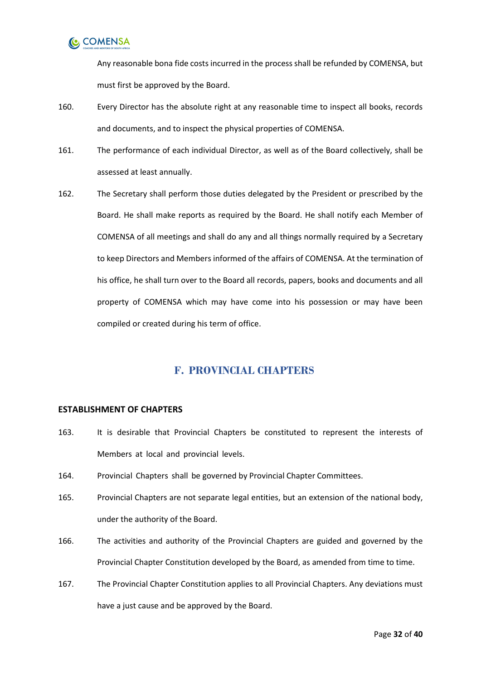

Any reasonable bona fide costs incurred in the process shall be refunded by COMENSA, but must first be approved by the Board.

- 160. Every Director has the absolute right at any reasonable time to inspect all books, records and documents, and to inspect the physical properties of COMENSA.
- 161. The performance of each individual Director, as well as of the Board collectively, shall be assessed at least annually.
- 162. The Secretary shall perform those duties delegated by the President or prescribed by the Board. He shall make reports as required by the Board. He shall notify each Member of COMENSA of all meetings and shall do any and all things normally required by a Secretary to keep Directors and Members informed of the affairs of COMENSA. At the termination of his office, he shall turn over to the Board all records, papers, books and documents and all property of COMENSA which may have come into his possession or may have been compiled or created during his term of office.

### **F. PROVINCIAL CHAPTERS**

#### <span id="page-31-1"></span><span id="page-31-0"></span>**ESTABLISHMENT OF CHAPTERS**

- 163. It is desirable that Provincial Chapters be constituted to represent the interests of Members at local and provincial levels.
- 164. Provincial Chapters shall be governed by Provincial Chapter Committees.
- 165. Provincial Chapters are not separate legal entities, but an extension of the national body, under the authority of the Board.
- 166. The activities and authority of the Provincial Chapters are guided and governed by the Provincial Chapter Constitution developed by the Board, as amended from time to time.
- 167. The Provincial Chapter Constitution applies to all Provincial Chapters. Any deviations must have a just cause and be approved by the Board.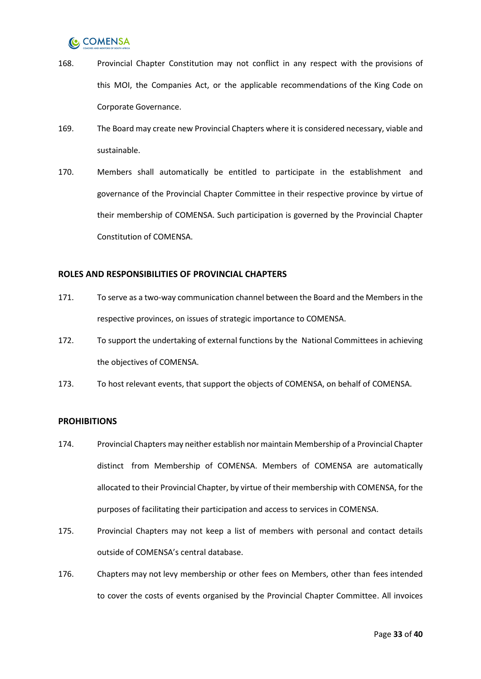- 168. Provincial Chapter Constitution may not conflict in any respect with the provisions of this MOI, the Companies Act, or the applicable recommendations of the King Code on Corporate Governance.
- 169. The Board may create new Provincial Chapters where it is considered necessary, viable and sustainable.
- 170. Members shall automatically be entitled to participate in the establishment and governance of the Provincial Chapter Committee in their respective province by virtue of their membership of COMENSA. Such participation is governed by the Provincial Chapter Constitution of COMENSA.

#### <span id="page-32-0"></span>**ROLES AND RESPONSIBILITIES OF PROVINCIAL CHAPTERS**

- 171. To serve as a two-way communication channel between the Board and the Members in the respective provinces, on issues of strategic importance to COMENSA.
- 172. To support the undertaking of external functions by the National Committees in achieving the objectives of COMENSA.
- 173. To host relevant events, that support the objects of COMENSA, on behalf of COMENSA.

#### <span id="page-32-1"></span>**PROHIBITIONS**

- 174. Provincial Chapters may neither establish nor maintain Membership of a Provincial Chapter distinct from Membership of COMENSA. Members of COMENSA are automatically allocated to their Provincial Chapter, by virtue of their membership with COMENSA, for the purposes of facilitating their participation and access to services in COMENSA.
- 175. Provincial Chapters may not keep a list of members with personal and contact details outside of COMENSA's central database.
- 176. Chapters may not levy membership or other fees on Members, other than fees intended to cover the costs of events organised by the Provincial Chapter Committee. All invoices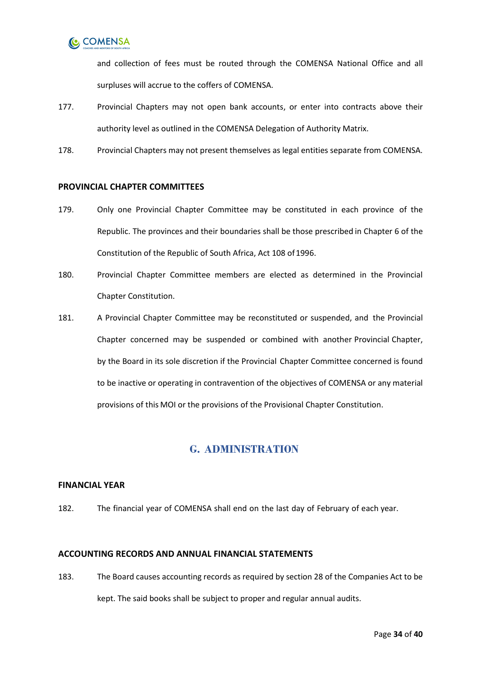

and collection of fees must be routed through the COMENSA National Office and all surpluses will accrue to the coffers of COMENSA.

- 177. Provincial Chapters may not open bank accounts, or enter into contracts above their authority level as outlined in the COMENSA Delegation of Authority Matrix.
- 178. Provincial Chapters may not present themselves as legal entities separate from COMENSA.

#### <span id="page-33-0"></span>**PROVINCIAL CHAPTER COMMITTEES**

- 179. Only one Provincial Chapter Committee may be constituted in each province of the Republic. The provinces and their boundaries shall be those prescribed in Chapter 6 of the Constitution of the Republic of South Africa, Act 108 of 1996.
- 180. Provincial Chapter Committee members are elected as determined in the Provincial Chapter Constitution.
- 181. A Provincial Chapter Committee may be reconstituted or suspended, and the Provincial Chapter concerned may be suspended or combined with another Provincial Chapter, by the Board in its sole discretion if the Provincial Chapter Committee concerned is found to be inactive or operating in contravention of the objectives of COMENSA or any material provisions of this MOI or the provisions of the Provisional Chapter Constitution.

### **G. ADMINISTRATION**

#### <span id="page-33-2"></span><span id="page-33-1"></span>**FINANCIAL YEAR**

182. The financial year of COMENSA shall end on the last day of February of each year.

#### <span id="page-33-3"></span>**ACCOUNTING RECORDS AND ANNUAL FINANCIAL STATEMENTS**

183. The Board causes accounting records as required by section 28 of the Companies Act to be kept. The said books shall be subject to proper and regular annual audits.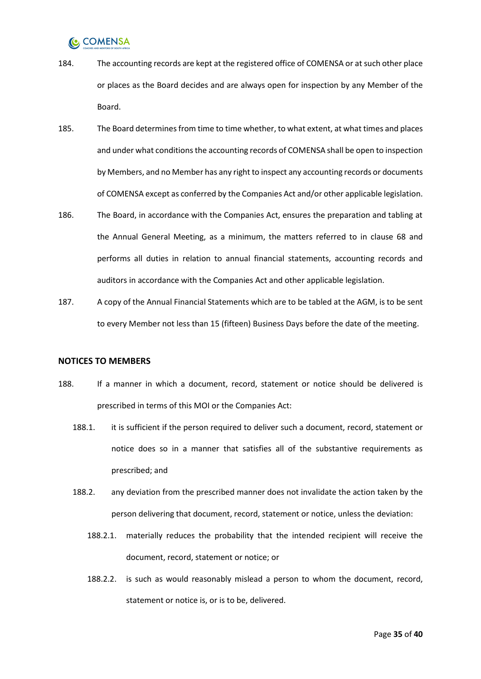- 184. The accounting records are kept at the registered office of COMENSA or at such other place or places as the Board decides and are always open for inspection by any Member of the Board.
- 185. The Board determines from time to time whether, to what extent, at what times and places and under what conditions the accounting records of COMENSA shall be open to inspection by Members, and no Member has any right to inspect any accounting records or documents of COMENSA except as conferred by the Companies Act and/or other applicable legislation.
- 186. The Board, in accordance with the Companies Act, ensures the preparation and tabling at the Annual General Meeting, as a minimum, the matters referred to in clause [68](#page-16-3) and performs all duties in relation to annual financial statements, accounting records and auditors in accordance with the Companies Act and other applicable legislation.
- 187. A copy of the Annual Financial Statements which are to be tabled at the AGM, is to be sent to every Member not less than 15 (fifteen) Business Days before the date of the meeting.

#### <span id="page-34-0"></span>**NOTICES TO MEMBERS**

- 188. If a manner in which a document, record, statement or notice should be delivered is prescribed in terms of this MOI or the Companies Act:
	- 188.1. it is sufficient if the person required to deliver such a document, record, statement or notice does so in a manner that satisfies all of the substantive requirements as prescribed; and
	- 188.2. any deviation from the prescribed manner does not invalidate the action taken by the person delivering that document, record, statement or notice, unless the deviation:
		- 188.2.1. materially reduces the probability that the intended recipient will receive the document, record, statement or notice; or
		- 188.2.2. is such as would reasonably mislead a person to whom the document, record, statement or notice is, or is to be, delivered.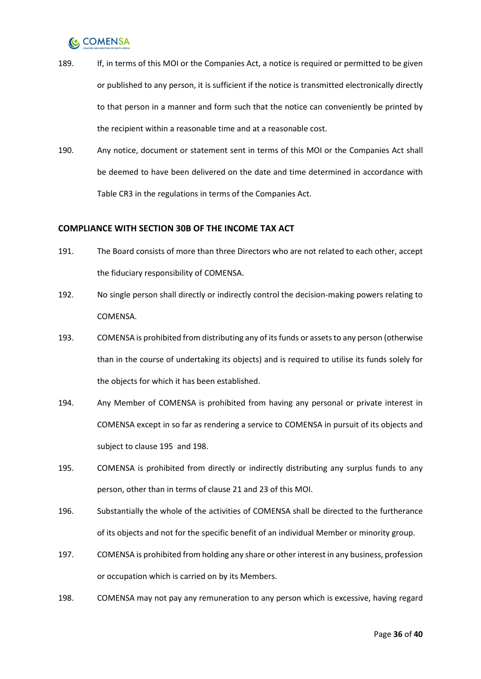- 189. If, in terms of this MOI or the Companies Act, a notice is required or permitted to be given or published to any person, it is sufficient if the notice is transmitted electronically directly to that person in a manner and form such that the notice can conveniently be printed by the recipient within a reasonable time and at a reasonable cost.
- 190. Any notice, document or statement sent in terms of this MOI or the Companies Act shall be deemed to have been delivered on the date and time determined in accordance with Table CR3 in the regulations in terms of the Companies Act.

#### <span id="page-35-0"></span>**COMPLIANCE WITH SECTION 30B OF THE INCOME TAX ACT**

- 191. The Board consists of more than three Directors who are not related to each other, accept the fiduciary responsibility of COMENSA.
- 192. No single person shall directly or indirectly control the decision-making powers relating to COMENSA.
- 193. COMENSA is prohibited from distributing any of its funds or assets to any person (otherwise than in the course of undertaking its objects) and is required to utilise its funds solely for the objects for which it has been established.
- 194. Any Member of COMENSA is prohibited from having any personal or private interest in COMENSA except in so far as rendering a service to COMENSA in pursuit of its objects and subject to clause [195](#page-35-1) and [198.](#page-35-2)
- <span id="page-35-1"></span>195. COMENSA is prohibited from directly or indirectly distributing any surplus funds to any person, other than in terms of clause [21](#page-9-0) and [23](#page-9-1) of this MOI.
- 196. Substantially the whole of the activities of COMENSA shall be directed to the furtherance of its objects and not for the specific benefit of an individual Member or minority group.
- 197. COMENSA is prohibited from holding any share or other interest in any business, profession or occupation which is carried on by its Members.
- <span id="page-35-2"></span>198. COMENSA may not pay any remuneration to any person which is excessive, having regard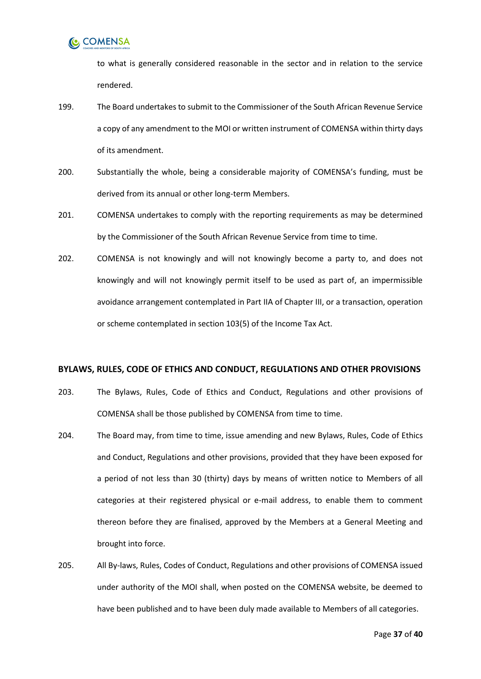

to what is generally considered reasonable in the sector and in relation to the service rendered.

- 199. The Board undertakes to submit to the Commissioner of the South African Revenue Service a copy of any amendment to the MOI or written instrument of COMENSA within thirty days of its amendment.
- 200. Substantially the whole, being a considerable majority of COMENSA's funding, must be derived from its annual or other long-term Members.
- 201. COMENSA undertakes to comply with the reporting requirements as may be determined by the Commissioner of the South African Revenue Service from time to time.
- 202. COMENSA is not knowingly and will not knowingly become a party to, and does not knowingly and will not knowingly permit itself to be used as part of, an impermissible avoidance arrangement contemplated in Part IIA of Chapter III, or a transaction, operation or scheme contemplated in section 103(5) of the Income Tax Act.

#### <span id="page-36-0"></span>**BYLAWS, RULES, CODE OF ETHICS AND CONDUCT, REGULATIONS AND OTHER PROVISIONS**

- 203. The Bylaws, Rules, Code of Ethics and Conduct, Regulations and other provisions of COMENSA shall be those published by COMENSA from time to time.
- 204. The Board may, from time to time, issue amending and new Bylaws, Rules, Code of Ethics and Conduct, Regulations and other provisions, provided that they have been exposed for a period of not less than 30 (thirty) days by means of written notice to Members of all categories at their registered physical or e-mail address, to enable them to comment thereon before they are finalised, approved by the Members at a General Meeting and brought into force.
- 205. All By-laws, Rules, Codes of Conduct, Regulations and other provisions of COMENSA issued under authority of the MOI shall, when posted on the COMENSA website, be deemed to have been published and to have been duly made available to Members of all categories.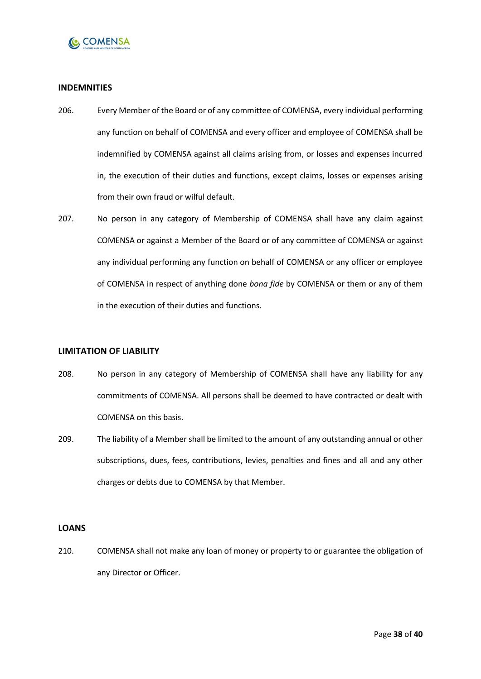

#### <span id="page-37-0"></span>**INDEMNITIES**

- 206. Every Member of the Board or of any committee of COMENSA, every individual performing any function on behalf of COMENSA and every officer and employee of COMENSA shall be indemnified by COMENSA against all claims arising from, or losses and expenses incurred in, the execution of their duties and functions, except claims, losses or expenses arising from their own fraud or wilful default.
- 207. No person in any category of Membership of COMENSA shall have any claim against COMENSA or against a Member of the Board or of any committee of COMENSA or against any individual performing any function on behalf of COMENSA or any officer or employee of COMENSA in respect of anything done *bona fide* by COMENSA or them or any of them in the execution of their duties and functions.

#### <span id="page-37-1"></span>**LIMITATION OF LIABILITY**

- 208. No person in any category of Membership of COMENSA shall have any liability for any commitments of COMENSA. All persons shall be deemed to have contracted or dealt with COMENSA on this basis.
- 209. The liability of a Member shall be limited to the amount of any outstanding annual or other subscriptions, dues, fees, contributions, levies, penalties and fines and all and any other charges or debts due to COMENSA by that Member.

#### <span id="page-37-2"></span>**LOANS**

210. COMENSA shall not make any loan of money or property to or guarantee the obligation of any Director or Officer.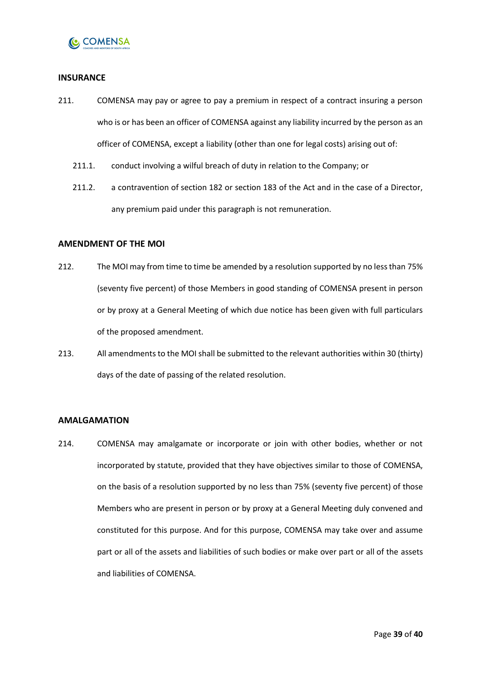

#### <span id="page-38-0"></span>**INSURANCE**

- 211. COMENSA may pay or agree to pay a premium in respect of a contract insuring a person who is or has been an officer of COMENSA against any liability incurred by the person as an officer of COMENSA, except a liability (other than one for legal costs) arising out of:
	- 211.1. conduct involving a wilful breach of duty in relation to the Company; or
	- 211.2. a contravention of section 182 or section 183 of the Act and in the case of a Director, any premium paid under this paragraph is not remuneration.

#### <span id="page-38-1"></span>**AMENDMENT OF THE MOI**

- 212. The MOI may from time to time be amended by a resolution supported by no less than 75% (seventy five percent) of those Members in good standing of COMENSA present in person or by proxy at a General Meeting of which due notice has been given with full particulars of the proposed amendment.
- 213. All amendments to the MOI shall be submitted to the relevant authorities within 30 (thirty) days of the date of passing of the related resolution.

#### <span id="page-38-2"></span>**AMALGAMATION**

214. COMENSA may amalgamate or incorporate or join with other bodies, whether or not incorporated by statute, provided that they have objectives similar to those of COMENSA, on the basis of a resolution supported by no less than 75% (seventy five percent) of those Members who are present in person or by proxy at a General Meeting duly convened and constituted for this purpose. And for this purpose, COMENSA may take over and assume part or all of the assets and liabilities of such bodies or make over part or all of the assets and liabilities of COMENSA.